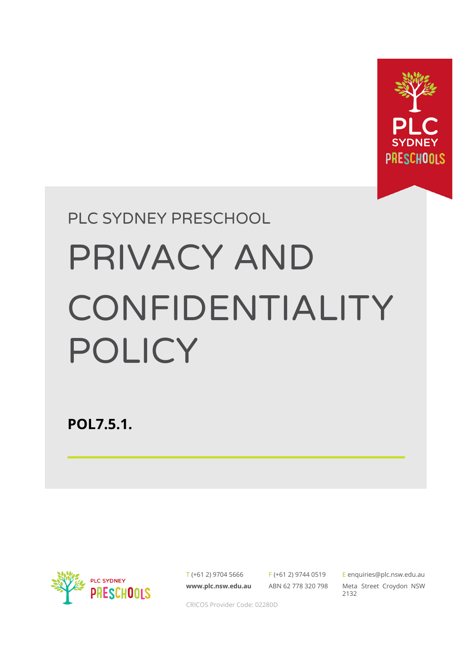

# PLC SYDNEY PRESCHOOL PRIVACY AND CONFIDENTIALITY POLICY

**POL7.5.1.**



T (+61 2) 9704 5666 **[www.plc.nsw.edu.au](http://www.plc.nsw.edu.au)**

F (+61 2) 9744 0519 ABN 62 778 320 798 E [enquiries@plc.nsw.edu.au](mailto:enquiries@plc.nsw.edu.au) Meta Street Croydon NSW 2132

CRICOS Provider Code: 02280D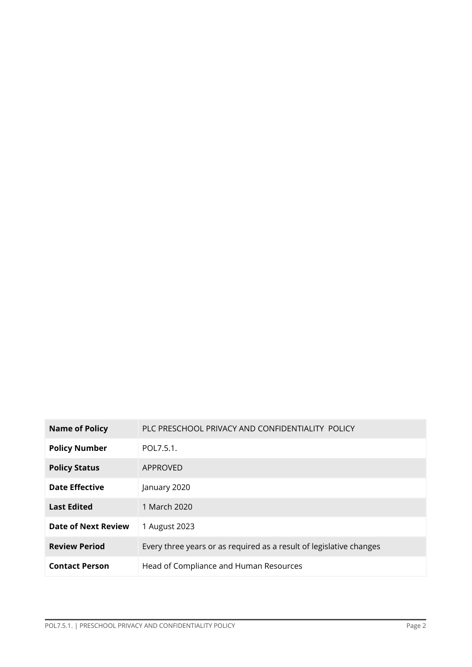| <b>Name of Policy</b>      | PLC PRESCHOOL PRIVACY AND CONFIDENTIALITY POLICY                    |
|----------------------------|---------------------------------------------------------------------|
| <b>Policy Number</b>       | POL7.5.1.                                                           |
| <b>Policy Status</b>       | APPROVED                                                            |
| <b>Date Effective</b>      | January 2020                                                        |
| <b>Last Edited</b>         | 1 March 2020                                                        |
| <b>Date of Next Review</b> | 1 August 2023                                                       |
| <b>Review Period</b>       | Every three years or as required as a result of legislative changes |
| <b>Contact Person</b>      | Head of Compliance and Human Resources                              |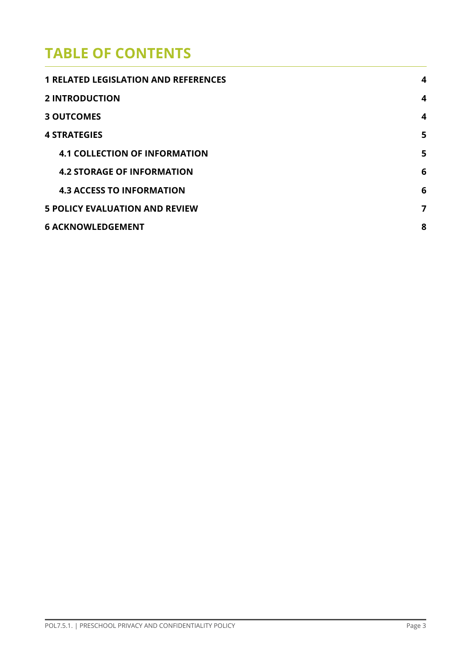# **TABLE OF CONTENTS**

| <b>1 RELATED LEGISLATION AND REFERENCES</b> | $\boldsymbol{4}$        |
|---------------------------------------------|-------------------------|
| <b>2 INTRODUCTION</b>                       | $\overline{\mathbf{4}}$ |
| <b>3 OUTCOMES</b>                           | $\boldsymbol{4}$        |
| <b>4 STRATEGIES</b>                         | 5                       |
| <b>4.1 COLLECTION OF INFORMATION</b>        | 5                       |
| <b>4.2 STORAGE OF INFORMATION</b>           | 6                       |
| <b>4.3 ACCESS TO INFORMATION</b>            | 6                       |
| <b>5 POLICY EVALUATION AND REVIEW</b>       | 7                       |
| <b>6 ACKNOWLEDGEMENT</b>                    | 8                       |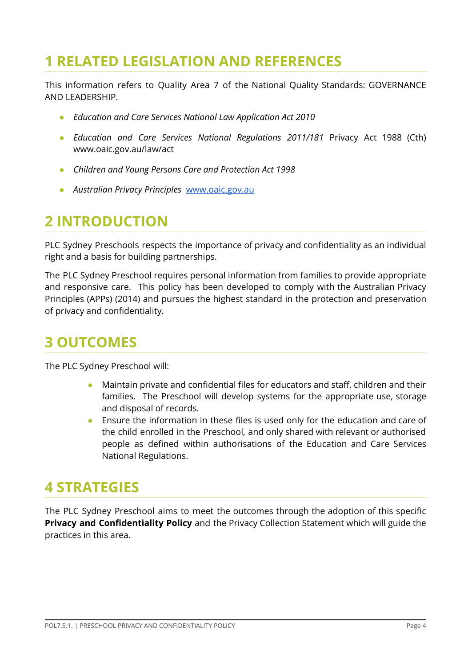# **1 RELATED LEGISLATION AND REFERENCES**

This information refers to Quality Area 7 of the National Quality Standards: GOVERNANCE AND LEADERSHIP.

- *● Education and Care Services National Law Application Act 2010*
- *Education and Care Services National Regulations 2011/181* Privacy Act 1988 (Cth) www.oaic.gov.au/law/act
- *● Children and Young Persons Care and Protection Act 1998*
- *● Australian Privacy Principles* [www.oaic.gov.au](http://www.oaic.gov.au)

# **2 INTRODUCTION**

PLC Sydney Preschools respects the importance of privacy and confidentiality as an individual right and a basis for building partnerships.

The PLC Sydney Preschool requires personal information from families to provide appropriate and responsive care. This policy has been developed to comply with the Australian Privacy Principles (APPs) (2014) and pursues the highest standard in the protection and preservation of privacy and confidentiality.

## **3 OUTCOMES**

The PLC Sydney Preschool will:

- Maintain private and confidential files for educators and staff, children and their families. The Preschool will develop systems for the appropriate use, storage and disposal of records.
- Ensure the information in these files is used only for the education and care of the child enrolled in the Preschool, and only shared with relevant or authorised people as defined within authorisations of the Education and Care Services National Regulations.

## **4 STRATEGIES**

The PLC Sydney Preschool aims to meet the outcomes through the adoption of this specific **Privacy and Confidentiality Policy** and the Privacy Collection Statement which will guide the practices in this area.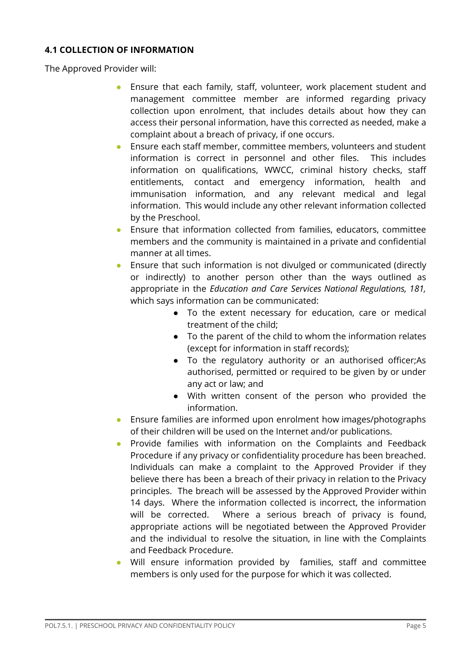#### **4.1 COLLECTION OF INFORMATION**

The Approved Provider will:

- Ensure that each family, staff, volunteer, work placement student and management committee member are informed regarding privacy collection upon enrolment, that includes details about how they can access their personal information, have this corrected as needed, make a complaint about a breach of privacy, if one occurs.
- Ensure each staff member, committee members, volunteers and student information is correct in personnel and other files. This includes information on qualifications, WWCC, criminal history checks, staff entitlements, contact and emergency information, health and immunisation information, and any relevant medical and legal information. This would include any other relevant information collected by the Preschool.
- Ensure that information collected from families, educators, committee members and the community is maintained in a private and confidential manner at all times.
- Ensure that such information is not divulged or communicated (directly or indirectly) to another person other than the ways outlined as appropriate in the *Education and Care Services National Regulations, 181,* which says information can be communicated:
	- To the extent necessary for education, care or medical treatment of the child;
	- To the parent of the child to whom the information relates (except for information in staff records);
	- To the regulatory authority or an authorised officer;As authorised, permitted or required to be given by or under any act or law; and
	- With written consent of the person who provided the information.
- Ensure families are informed upon enrolment how images/photographs of their children will be used on the Internet and/or publications.
- Provide families with information on the Complaints and Feedback Procedure if any privacy or confidentiality procedure has been breached. Individuals can make a complaint to the Approved Provider if they believe there has been a breach of their privacy in relation to the Privacy principles. The breach will be assessed by the Approved Provider within 14 days. Where the information collected is incorrect, the information will be corrected. Where a serious breach of privacy is found, appropriate actions will be negotiated between the Approved Provider and the individual to resolve the situation, in line with the Complaints and Feedback Procedure.
- Will ensure information provided by families, staff and committee members is only used for the purpose for which it was collected.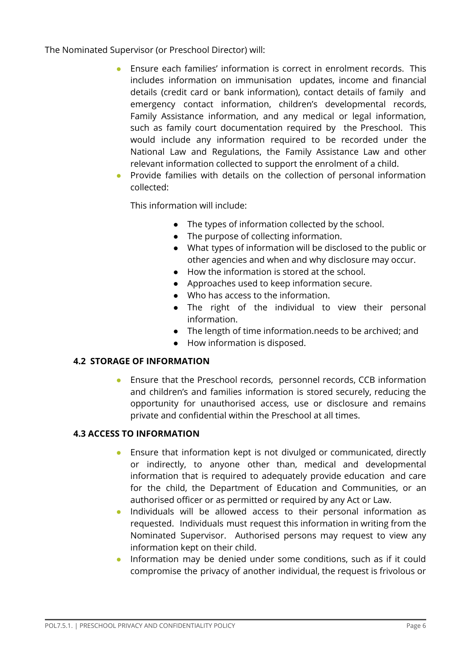The Nominated Supervisor (or Preschool Director) will:

- Ensure each families' information is correct in enrolment records. This includes information on immunisation updates, income and financial details (credit card or bank information), contact details of family and emergency contact information, children's developmental records, Family Assistance information, and any medical or legal information, such as family court documentation required by the Preschool. This would include any information required to be recorded under the National Law and Regulations, the Family Assistance Law and other relevant information collected to support the enrolment of a child.
- Provide families with details on the collection of personal information collected:

This information will include:

- The types of information collected by the school.
- The purpose of collecting information.
- What types of information will be disclosed to the public or other agencies and when and why disclosure may occur.
- How the information is stored at the school.
- Approaches used to keep information secure.
- Who has access to the information.
- The right of the individual to view their personal information.
- The length of time information.needs to be archived; and
- How information is disposed.

#### **4.2 STORAGE OF INFORMATION**

Ensure that the Preschool records, personnel records, CCB information and children's and families information is stored securely, reducing the opportunity for unauthorised access, use or disclosure and remains private and confidential within the Preschool at all times.

#### **4.3 ACCESS TO INFORMATION**

- Ensure that information kept is not divulged or communicated, directly or indirectly, to anyone other than, medical and developmental information that is required to adequately provide education and care for the child, the Department of Education and Communities, or an authorised officer or as permitted or required by any Act or Law.
- Individuals will be allowed access to their personal information as requested. Individuals must request this information in writing from the Nominated Supervisor. Authorised persons may request to view any information kept on their child.
- Information may be denied under some conditions, such as if it could compromise the privacy of another individual, the request is frivolous or